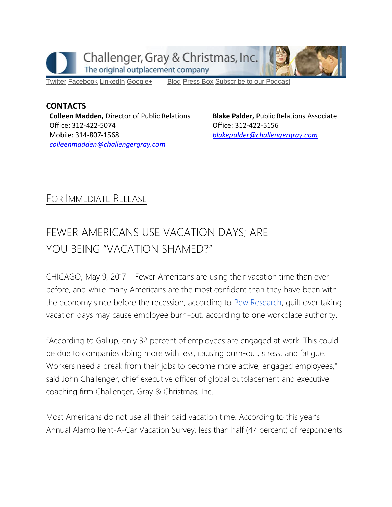

[Twitter](https://twitter.com/#!/ChallengerGray) [Facebook](https://www.facebook.com/ChallengerGray) [LinkedIn](http://www.linkedin.com/company/28264?trk=tyah) [Google+](https://plus.google.com/b/114363499979264115698/114363499979264115698) [Blog](http://www.challengergray.com/press/blog) [Press](http://www.challengergray.com/press/press-releases) Box [Subscribe](https://itunes.apple.com/us/podcast/challenger-podcast-hr-passport/id1155541697?mt=2) to our Podcast

**CONTACTS Colleen Madden,** Director of Public Relations Office: 312-422-5074 Mobile: 314-807-1568 *[colleenmadden@challengergray.com](mailto:colleenmadden@challengergray.com)* 

**Blake Palder,** Public Relations Associate Office: 312-422-5156 *[blakepalder@challengergray.com](mailto:blakepalder@challengergray.com)*

## FOR IMMEDIATE RELEASE

## FEWER AMERICANS USE VACATION DAYS; ARE YOU BEING "VACATION SHAMED?"

CHICAGO, May 9, 2017 – Fewer Americans are using their vacation time than ever before, and while many Americans are the most confident than they have been with the economy since before the recession, according to [Pew Research,](http://www.pewresearch.org/fact-tank/2017/04/03/americans-give-economy-highest-marks-since-financial-crisis/) guilt over taking vacation days may cause employee burn-out, according to one workplace authority.

"According to Gallup, only 32 percent of employees are engaged at work. This could be due to companies doing more with less, causing burn-out, stress, and fatigue. Workers need a break from their jobs to become more active, engaged employees," said John Challenger, chief executive officer of global outplacement and executive coaching firm Challenger, Gray & Christmas, Inc.

Most Americans do not use all their paid vacation time. According to this year's Annual Alamo Rent-A-Car Vacation Survey, less than half (47 percent) of respondents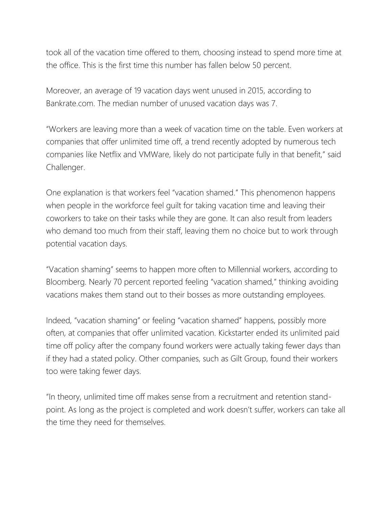took all of the vacation time offered to them, choosing instead to spend more time at the office. This is the first time this number has fallen below 50 percent.

Moreover, an average of 19 vacation days went unused in 2015, according to Bankrate.com. The median number of unused vacation days was 7.

"Workers are leaving more than a week of vacation time on the table. Even workers at companies that offer unlimited time off, a trend recently adopted by numerous tech companies like Netflix and VMWare, likely do not participate fully in that benefit," said Challenger.

One explanation is that workers feel "vacation shamed." This phenomenon happens when people in the workforce feel guilt for taking vacation time and leaving their coworkers to take on their tasks while they are gone. It can also result from leaders who demand too much from their staff, leaving them no choice but to work through potential vacation days.

"Vacation shaming" seems to happen more often to Millennial workers, according to Bloomberg. Nearly 70 percent reported feeling "vacation shamed," thinking avoiding vacations makes them stand out to their bosses as more outstanding employees.

Indeed, "vacation shaming" or feeling "vacation shamed" happens, possibly more often, at companies that offer unlimited vacation. Kickstarter ended its unlimited paid time off policy after the company found workers were actually taking fewer days than if they had a stated policy. Other companies, such as Gilt Group, found their workers too were taking fewer days.

"In theory, unlimited time off makes sense from a recruitment and retention standpoint. As long as the project is completed and work doesn't suffer, workers can take all the time they need for themselves.